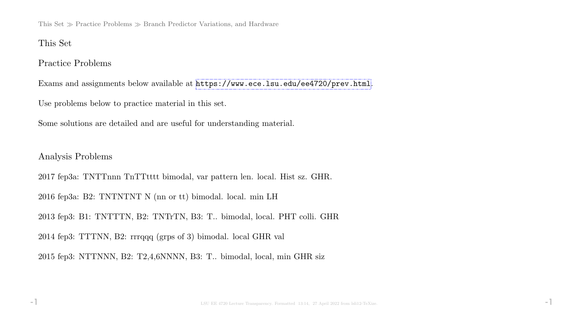This Set  $\gg$  Practice Problems  $\gg$  Branch Predictor Variations, and Hardware

#### This Set

### Practice Problems

Exams and assignments below available at <https://www.ece.lsu.edu/ee4720/prev.html>.

Use problems below to practice material in this set.

Some solutions are detailed and are useful for understanding material.

### Analysis Problems

2017 fep3a: TNTTnnn TnTTtttt bimodal, var pattern len. local. Hist sz. GHR. 2016 fep3a: B2: TNTNTNT N (nn or tt) bimodal. local. min LH 2013 fep3: B1: TNTTTN, B2: TNTrTN, B3: T.. bimodal, local. PHT colli. GHR

2014 fep3: TTTNN, B2: rrrqqq (grps of 3) bimodal. local GHR val

2015 fep3: NTTNNN, B2: T2,4,6NNNN, B3: T.. bimodal, local, min GHR siz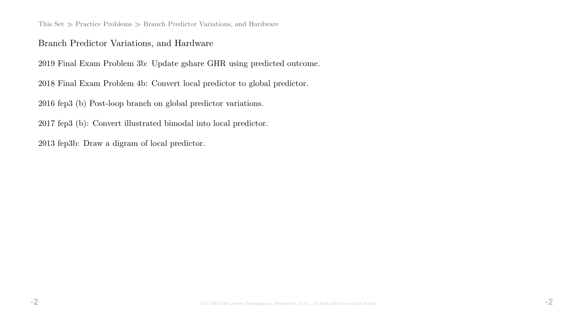This Set  $\gg$  Practice Problems  $\gg$  Branch Predictor Variations, and Hardware

### Branch Predictor Variations, and Hardware

2019 Final Exam Problem 3b: Update gshare GHR using predicted outcome.

2018 Final Exam Problem 4b: Convert local predictor to global predictor.

2016 fep3 (b) Post-loop branch on global predictor variations.

2017 fep3 (b): Convert illustrated bimodal into local predictor.

2013 fep3b: Draw a digram of local predictor.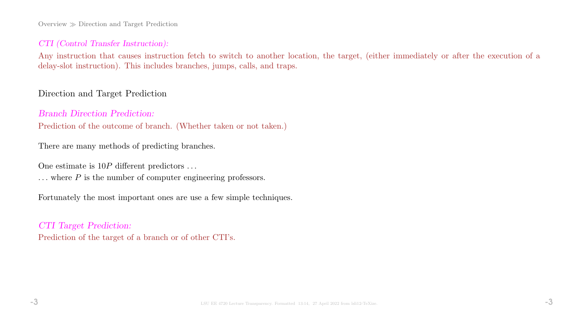Overview Direction and Target Prediction

#### CTI (Control Transfer Instruction):

Any instruction that causes instruction fetch to switch to another location, the target, (either immediately or after the execution of a delay-slot instruction). This includes branches, jumps, calls, and traps.

# Direction and Target Prediction

### Branch Direction Prediction:

Prediction of the outcome of branch. (Whether taken or not taken.)

There are many methods of predicting branches.

One estimate is  $10P$  different predictors  $\dots$ 

 $\dots$  where  $P$  is the number of computer engineering professors.

Fortunately the most important ones are use a few simple techniques.

CTI Target Prediction: Prediction of the target of a branch or of other CTI's.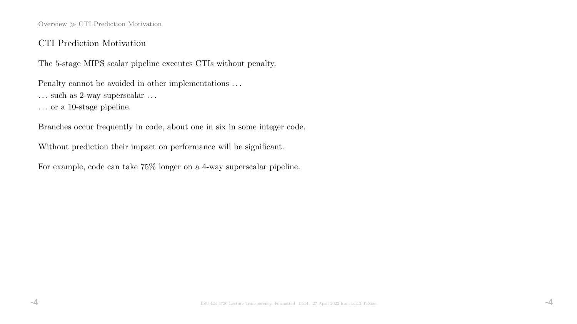Overview  $\gg$  CTI Prediction Motivation

## CTI Prediction Motivation

The 5-stage MIPS scalar pipeline executes CTIs without penalty.

Penalty cannot be avoided in other implementations ...

 $\ldots$  such as 2-way superscalar  $\ldots$ 

. . . or a 10-stage pipeline.

Branches occur frequently in code, about one in six in some integer code.

Without prediction their impact on performance will be significant.

For example, code can take 75% longer on a 4-way superscalar pipeline.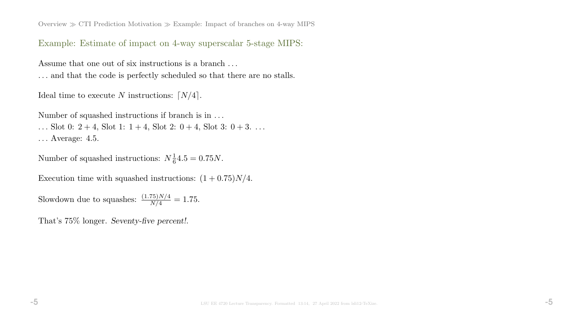Overview  $\gg$  CTI Prediction Motivation  $\gg$  Example: Impact of branches on 4-way MIPS

## Example: Estimate of impact on 4-way superscalar 5-stage MIPS:

Assume that one out of six instructions is a branch . . . . . . and that the code is perfectly scheduled so that there are no stalls.

Ideal time to execute N instructions:  $\lceil N/4 \rceil$ .

Number of squashed instructions if branch is in . . . ... Slot 0:  $2+4$ , Slot 1:  $1+4$ , Slot 2:  $0+4$ , Slot 3:  $0+3$ ... . . . Average: 4.5.

Number of squashed instructions:  $N_{\frac{1}{6}}^{\frac{1}{4}}4.5 = 0.75N$ .

Execution time with squashed instructions:  $(1 + 0.75)N/4$ .

Slowdown due to squashes:  $\frac{(1.75)N/4}{N/4} = 1.75$ .

That's 75% longer. Seventy-five percent!.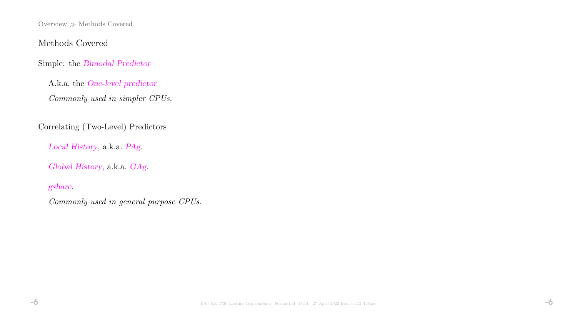Overview  $\gg$  Methods Covered

# Methods Covered

Simple: the Bimodal Predictor

A.k.a. the One-level predictor Commonly used in simpler CPUs.

Correlating (Two-Level) Predictors

Local History, a.k.a. PAg.

Global History, a.k.a. GAg.

gshare.

Commonly used in general purpose CPUs.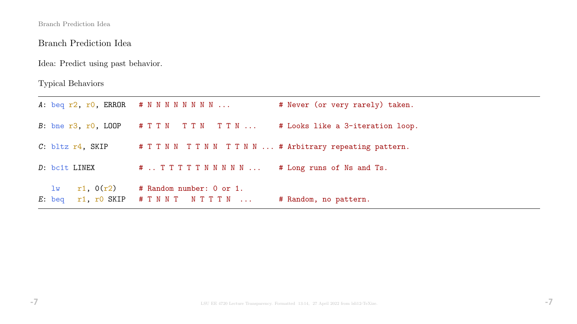Branch Prediction Idea

# Branch Prediction Idea

Idea: Predict using past behavior.

# Typical Behaviors

|                                        | $A: \text{ }$ beq $r2, r0,$ ERROR $\# N N N N N N N N $                   | # Never (or very rarely) taken. |
|----------------------------------------|---------------------------------------------------------------------------|---------------------------------|
|                                        | B: bne r3, r0, LOOP # T T N T T N T T N  # Looks like a 3-iteration loop. |                                 |
| $C:$ bltz $r4$ , SKIP                  | # T T N N T T N N T T N N  # Arbitrary repeating pattern.                 |                                 |
| D: bc1t LINEX                          | # T T T T N N N N N  # Long runs of Ns and Ts.                            |                                 |
| r1, 0(r2)<br>$\mathbf{1}$ <sub>M</sub> | # Random number: 0 or 1.<br>$E:$ beg r1, r0 SKIP $# T N N T N T T N $     | # Random, no pattern.           |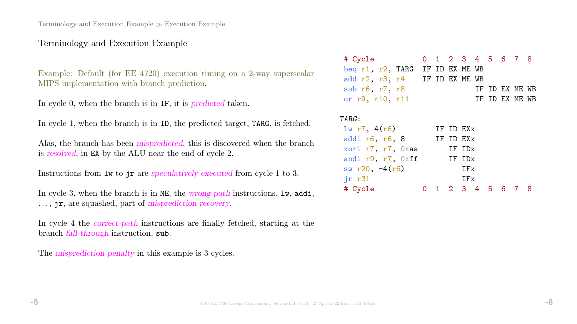Terminology and Execution Example  $\gg$  Execution Example

#### Terminology and Execution Example

Example: Default (for EE 4720) execution timing on a 2-way superscalar MIPS implementation with branch prediction.

In cycle 0, when the branch is in IF, it is predicted taken.

In cycle 1, when the branch is in ID, the predicted target, TARG, is fetched.

Alas, the branch has been *mispredicted*, this is discovered when the branch is resolved, in EX by the ALU near the end of cycle 2.

Instructions from  $\text{lw}$  to jr are speculatively executed from cycle 1 to 3.

In cycle 3, when the branch is in ME, the wrong-path instructions, lw, addi, ...,  $jr$ , are squashed, part of misprediction recovery.

In cycle 4 the correct-path instructions are finally fetched, starting at the branch fall-through instruction, sub.

The *misprediction penalty* in this example is 3 cycles.

| # Cycle                               |  | 0 1 2 3 4 5 6 7 8 |  |                |  |
|---------------------------------------|--|-------------------|--|----------------|--|
| beq $r1$ , $r2$ , TARG IF ID EX ME WB |  |                   |  |                |  |
| add r2, r3, r4 IF ID EX ME WB         |  |                   |  |                |  |
| sub r6, r7, r8                        |  |                   |  | IF ID EX ME WB |  |
| or r9, r10, r11                       |  |                   |  | IF ID EX ME WB |  |

| TARG:                     |  |                   |  |  |
|---------------------------|--|-------------------|--|--|
| 1w r7, 4(r6)              |  | IF ID EXX         |  |  |
| addi r6, r6, 8            |  | IF ID EXX         |  |  |
| xori r7, r7, Oxaa         |  | IF IDx            |  |  |
| andi $r9$ , $r7$ , $0xff$ |  | IF IDx            |  |  |
| sw $r20, -4(r6)$          |  | IFx               |  |  |
| jr r31                    |  | <b>IFx</b>        |  |  |
| # Cycle                   |  | 0 1 2 3 4 5 6 7 8 |  |  |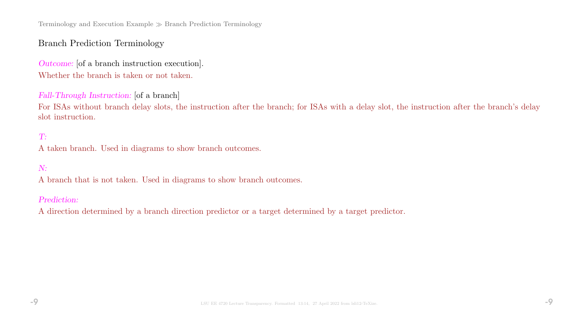Terminology and Execution Example  $\gg$  Branch Prediction Terminology

### Branch Prediction Terminology

Outcome: [of a branch instruction execution]. Whether the branch is taken or not taken.

#### Fall-Through Instruction: [of a branch]

For ISAs without branch delay slots, the instruction after the branch; for ISAs with a delay slot, the instruction after the branch's delay slot instruction.

#### T:

A taken branch. Used in diagrams to show branch outcomes.

#### N:

A branch that is not taken. Used in diagrams to show branch outcomes.

#### Prediction:

A direction determined by a branch direction predictor or a target determined by a target predictor.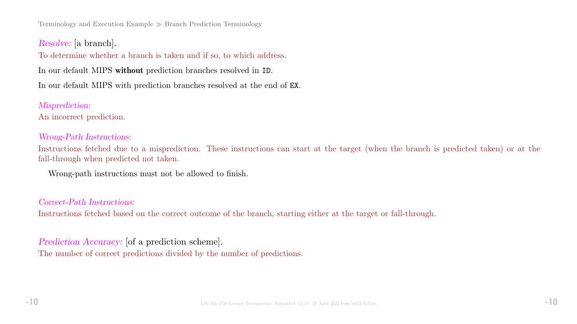Terminology and Execution Example  $\gg$  Branch Prediction Terminology

# Resolve: [a branch].

To determine whether a branch is taken and if so, to which address.

In our default MIPS without prediction branches resolved in ID.

In our default MIPS with prediction branches resolved at the end of EX.

#### Misprediction:

An incorrect prediction.

#### Wrong-Path Instructions:

Instructions fetched due to a misprediction. These instructions can start at the target (when the branch is predicted taken) or at the fall-through when predicted not taken.

Wrong-path instructions must not be allowed to finish.

#### Correct-Path Instructions:

Instructions fetched based on the correct outcome of the branch, starting either at the target or fall-through.

# Prediction Accuracy: [of a prediction scheme].

The number of correct predictions divided by the number of predictions.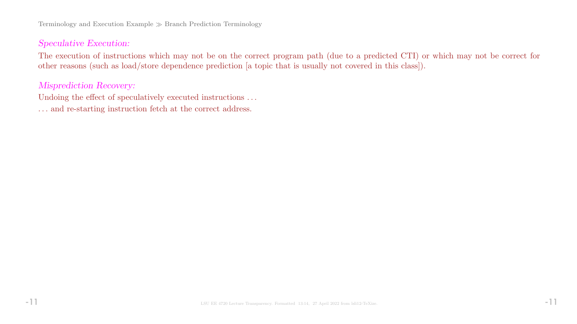Terminology and Execution Example  $\gg$  Branch Prediction Terminology

### Speculative Execution:

The execution of instructions which may not be on the correct program path (due to a predicted CTI) or which may not be correct for other reasons (such as load/store dependence prediction [a topic that is usually not covered in this class]).

#### Misprediction Recovery:

Undoing the effect of speculatively executed instructions . . .

. . . and re-starting instruction fetch at the correct address.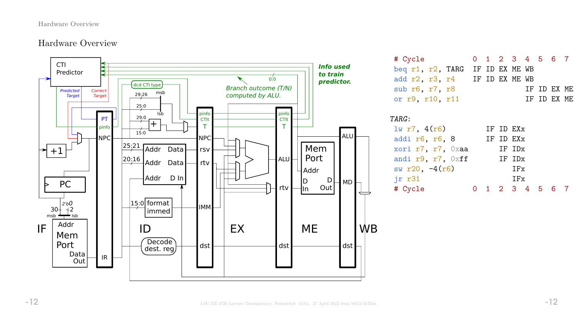## Hardware Overview

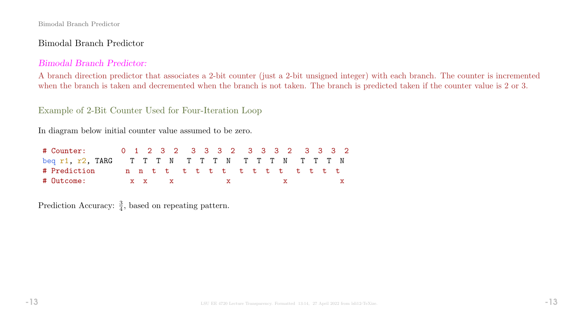# Bimodal Branch Predictor

# Bimodal Branch Predictor:

A branch direction predictor that associates a 2-bit counter (just a 2-bit unsigned integer) with each branch. The counter is incremented when the branch is taken and decremented when the branch is not taken. The branch is predicted taken if the counter value is 2 or 3.

Example of 2-Bit Counter Used for Four-Iteration Loop

In diagram below initial counter value assumed to be zero.

| # Counter:                                             |         | 0 1 2 3 2 3 3 3 2 3 3 3 2 3 3 3 2 |  |                                                                                                                                                                                                                                                                                                  |  |  |  |  |
|--------------------------------------------------------|---------|-----------------------------------|--|--------------------------------------------------------------------------------------------------------------------------------------------------------------------------------------------------------------------------------------------------------------------------------------------------|--|--|--|--|
| beg $r1$ , $r2$ , TARG T T T N T T T N T T T N T T T N |         |                                   |  |                                                                                                                                                                                                                                                                                                  |  |  |  |  |
| # Prediction                                           |         | nnt t t t t t t t t t t t t       |  |                                                                                                                                                                                                                                                                                                  |  |  |  |  |
| # Outcome:                                             | $X$ $X$ |                                   |  | $\mathbf{X}$ and $\mathbf{X}$ and $\mathbf{X}$ and $\mathbf{X}$ and $\mathbf{X}$ and $\mathbf{X}$ and $\mathbf{X}$ and $\mathbf{X}$ and $\mathbf{X}$ and $\mathbf{X}$ and $\mathbf{X}$ and $\mathbf{X}$ and $\mathbf{X}$ and $\mathbf{X}$ and $\mathbf{X}$ and $\mathbf{X}$ and $\mathbf{X}$ and |  |  |  |  |

Prediction Accuracy:  $\frac{3}{4}$ , based on repeating pattern.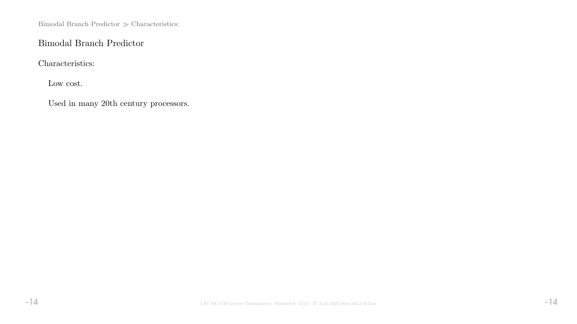Bimodal Branch Predictor  $\gg$  Characteristics:

# Bimodal Branch Predictor

Characteristics:

Low cost.

Used in many 20th century processors.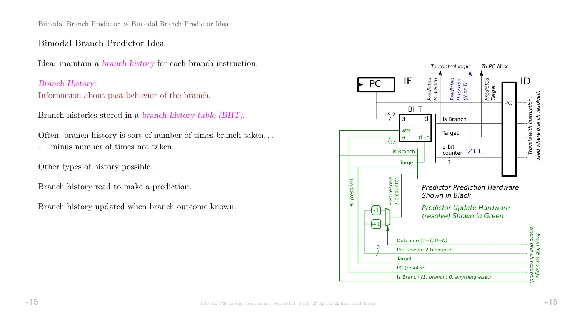Bimodal Branch Predictor Bimodal Branch Predictor Idea

#### Bimodal Branch Predictor Idea

Idea: maintain a branch history for each branch instruction.

Branch History: Information about past behavior of the branch.

Branch histories stored in a branch history table (BHT).

Often, branch history is sort of number of times branch taken. . . . . . minus number of times not taken.

Other types of history possible.

Branch history read to make a prediction.

Branch history updated when branch outcome known.

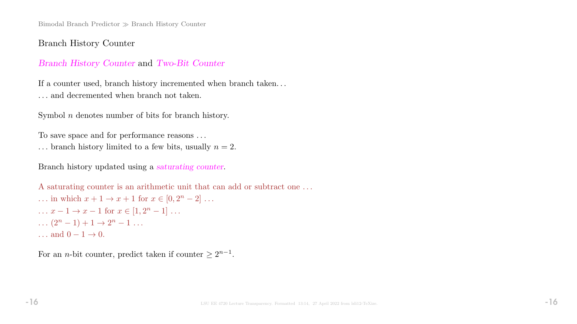Bimodal Branch Predictor  $\gg$  Branch History Counter

## Branch History Counter

### Branch History Counter and Two-Bit Counter

If a counter used, branch history incremented when branch taken. . . . . . and decremented when branch not taken.

Symbol *n* denotes number of bits for branch history.

To save space and for performance reasons . . . ... branch history limited to a few bits, usually  $n = 2$ .

Branch history updated using a saturating counter.

A saturating counter is an arithmetic unit that can add or subtract one . . . ... in which  $x + 1 \to x + 1$  for  $x \in [0, 2^n - 2]$  ...  $\ldots$   $x-1 \to x-1$  for  $x \in [1, 2^n-1] \ldots$  $\ldots (2^n - 1) + 1 \rightarrow 2^n - 1 \ldots$  $\ldots$  and  $0 - 1 \rightarrow 0$ .

For an *n*-bit counter, predict taken if counter  $\geq 2^{n-1}$ .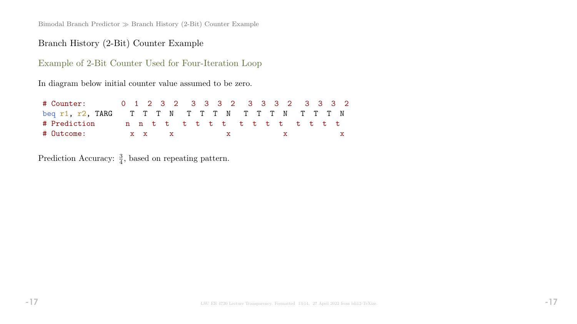Bimodal Branch Predictor  $\gg$  Branch History (2-Bit) Counter Example

Branch History (2-Bit) Counter Example

Example of 2-Bit Counter Used for Four-Iteration Loop

In diagram below initial counter value assumed to be zero.

| # Counter:                                       | 0 1 2 3 2 3 3 3 2 3 3 3 2 3 3 3 2 |  |  |  |  |  |  |                             |  |  |  |
|--------------------------------------------------|-----------------------------------|--|--|--|--|--|--|-----------------------------|--|--|--|
| beg r1, r2, TARG T T T N T T T N T T T N T T T N |                                   |  |  |  |  |  |  |                             |  |  |  |
| # Prediction                                     |                                   |  |  |  |  |  |  | nnt t t t t t t t t t t t t |  |  |  |
| # Outcome:                                       |                                   |  |  |  |  |  |  |                             |  |  |  |

Prediction Accuracy:  $\frac{3}{4}$ , based on repeating pattern.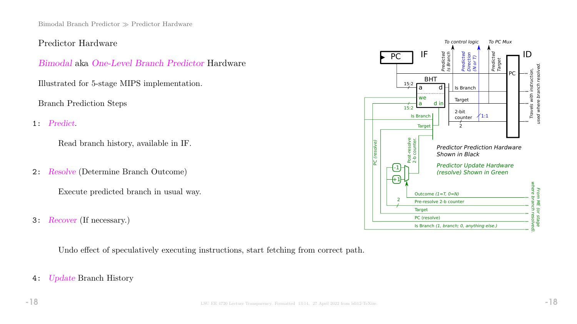Bimodal Branch Predictor  $\gg$  Predictor Hardware

Predictor Hardware

Bimodal aka One-Level Branch Predictor Hardware

Illustrated for 5-stage MIPS implementation.

Branch Prediction Steps

1: Predict.

Read branch history, available in IF.

2: Resolve (Determine Branch Outcome)

Execute predicted branch in usual way.

3: Recover (If necessary.)

Undo effect of speculatively executing instructions, start fetching from correct path.

4: Update Branch History

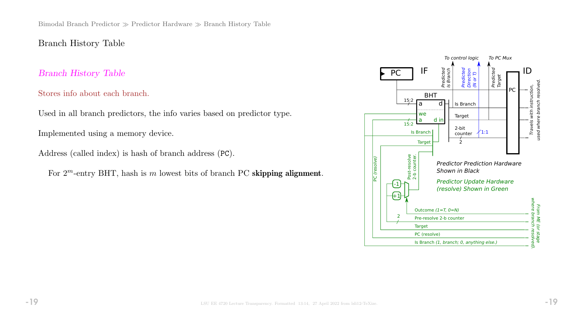Bimodal Branch Predictor  $\gg$  Predictor Hardware  $\gg$  Branch History Table

## Branch History Table

Branch History Table

Stores info about each branch.

Used in all branch predictors, the info varies based on predictor type.

Implemented using a memory device.

Address (called index) is hash of branch address (PC).

For  $2^m$ -entry BHT, hash is m lowest bits of branch PC skipping alignment.

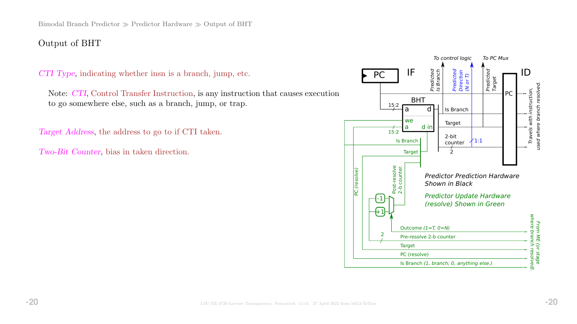Bimodal Branch Predictor  $\gg$  Predictor Hardware  $\gg$  Output of BHT

Output of BHT

CTI Type, indicating whether insn is a branch, jump, etc.

Note: CTI, Control Transfer Instruction, is any instruction that causes execution to go somewhere else, such as a branch, jump, or trap.

Target Address, the address to go to if CTI taken.

Two-Bit Counter, bias in taken direction.

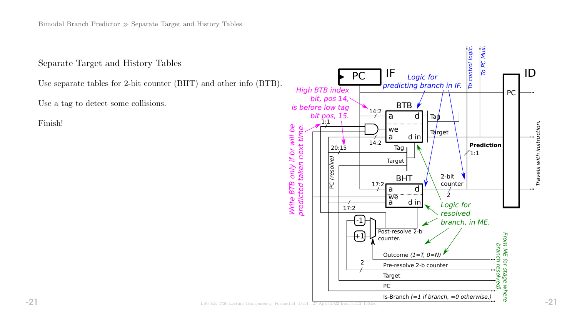Separate Target and History Tables

Use separate tables for 2-bit counter (BHT) and other info (BTB).

Use a tag to detect some collisions.

Finish!

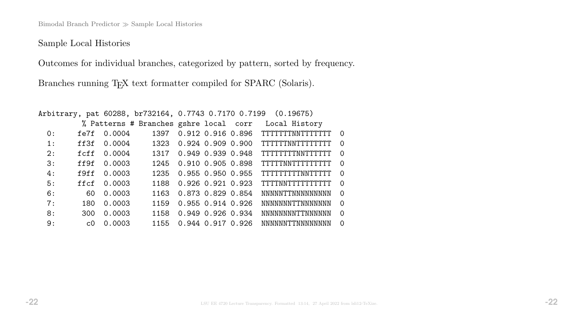Sample Local Histories

Outcomes for individual branches, categorized by pattern, sorted by frequency.

Branches running TEX text formatter compiled for SPARC (Solaris).

|    |      |        |      |  |                         | Arbitrary, pat 60288, br732164, 0.7743 0.7170 0.7199 (0.19675) |                |
|----|------|--------|------|--|-------------------------|----------------------------------------------------------------|----------------|
|    |      |        |      |  |                         | % Patterns # Branches gshre local corr Local History           |                |
| 0: | fe7f | 0.0004 | 1397 |  | $0.912$ $0.916$ $0.896$ | TTTTTTTNNTTTTTTTT                                              | - 0            |
| 1: | ff3f | 0.0004 | 1323 |  | $0.924$ 0.909 0.900     | TTTTTTNNTTTTTTTTTTTTTT                                         | $\overline{O}$ |
| 2: | fcff | 0.0004 | 1317 |  | $0.949$ 0.939 0.948     | TTTTTTTTNNTTTTTTT                                              | $\Omega$       |
| 3: | ff9f | 0.0003 | 1245 |  | $0.910$ $0.905$ $0.898$ |                                                                | $\Omega$       |
| 4: | f9ff | 0.0003 | 1235 |  | $0.955$ 0.950 0.955     | TTTTTTTTTNNTTTTT                                               | $\Omega$       |
| 5: | ffcf | 0.0003 | 1188 |  | $0.926$ $0.921$ $0.923$ | TTTTNNTTTTTTTTTTT                                              | $\Omega$       |
| 6: | 60   | 0.0003 | 1163 |  | 0.873 0.829 0.854       | NNNNNTTNNNNNNNNNN                                              | $\overline{0}$ |
| 7: | 180  | 0.0003 | 1159 |  | $0.955$ 0.914 0.926     | NNNNNNNTTNNNNNNNN                                              | $\overline{0}$ |
| 8: | 300  | 0.0003 | 1158 |  | $0.949$ 0.926 0.934     | NNNNNNNNTTNNNNNN                                               | $\Omega$       |
| 9: | c0   | 0.0003 | 1155 |  | $0.944$ 0.917 0.926     | NNNNNNTTNNNNNNNNN                                              | $\Omega$       |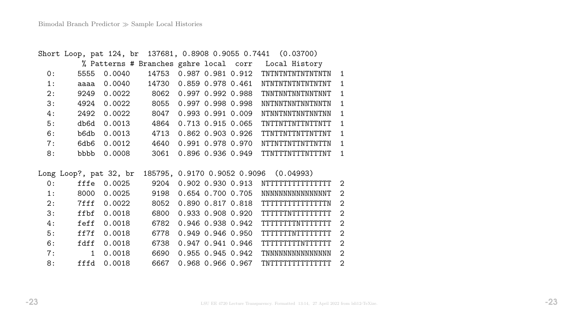|    |                        | Short Loop, pat 124, br                |         |                         |                      | 137681, 0.8908 0.9055 0.7441 (0.03700) |                |
|----|------------------------|----------------------------------------|---------|-------------------------|----------------------|----------------------------------------|----------------|
|    |                        | % Patterns # Branches gshre local corr |         |                         |                      | Local History                          |                |
| 0: | 5555                   | 0.0040                                 | 14753   |                         | 0.987 0.981 0.912    | TNTNTNTNTNTNTNTN                       | $\mathbf{1}$   |
| 1: | aaaa                   | 0.0040                                 | 14730   | 0.859 0.978 0.461       |                      | <b>NTNTNTNTNTNTNTNT</b>                | $\mathbf{1}$   |
| 2: | 9249                   | 0.0022                                 | 8062    | 0.997 0.992 0.988       |                      | TNNTNNTNNTNNTNNT                       | $\mathbf{1}$   |
| 3: | 4924                   | 0.0022                                 | 8055    | 0.997 0.998 0.998       |                      | NNTNNTNNTNNTNNTN                       | $\mathbf{1}$   |
| 4: | 2492                   | 0.0022                                 | 8047    | 0.993 0.991 0.009       |                      | <b>NTNNTNNTNNTNNTNN</b>                | $\mathbf{1}$   |
| 5: | db <sub>6</sub> d      | 0.0013                                 | 4864    | 0.713 0.915 0.065       |                      | TNTTNTTNTTNTTNTT                       | $\mathbf{1}$   |
| 6: | b6db                   | 0.0013                                 | 4713    | 0.862 0.903 0.926       |                      | TTNTTNTTNTTNTTNT                       | $\mathbf{1}$   |
| 7: | 6db6                   | 0.0012                                 | 4640    | 0.991 0.978 0.970       |                      | <b>NTTNTTNTTNTTNTTN</b>                | $\mathbf{1}$   |
| 8: | bbbb                   | 0.0008                                 | 3061    | 0.896 0.936 0.949       |                      | TTNTTTNTTTNTTTNT                       | $\mathbf{1}$   |
|    |                        |                                        |         |                         |                      |                                        |                |
|    | Long Loop?, pat 32, br |                                        | 185795, |                         | 0.9170 0.9052 0.9096 | (0.04993)                              |                |
| 0: | fffe                   | 0.0025                                 | 9204    | 0.902 0.930 0.913       |                      |                                        | $\overline{2}$ |
| 1: | 8000                   | 0.0025                                 | 9198    | 0.654 0.700 0.705       |                      | NNNNNNNNNNNNNNNT                       | $\overline{2}$ |
| 2: | 7fff                   | 0.0022                                 | 8052    | 0.890 0.817 0.818       |                      | <b>TTTTTTTTTTTTTTTTN</b>               | $\overline{2}$ |
| 3: | ffbf                   | 0.0018                                 | 6800    | 0.933 0.908 0.920       |                      | TTTTTTNTTTTTTTTTTTTT                   | $\overline{2}$ |
| 4: | feff                   | 0.0018                                 | 6782    | 0.946 0.938 0.942       |                      | <b>TTTTTTTTNTTTTTTTTTTTT</b>           | $\overline{2}$ |
| 5: | ff7f                   | 0.0018                                 | 6778    | $0.949$ 0.946 0.950     |                      | <b>TTTTTTTNTTTTTTTTTTTTT</b>           | $\overline{2}$ |
| 6: | fdff                   | 0.0018                                 | 6738    | 0.947 0.941 0.946       |                      | <b>TTTTTTTTTNTTTTTTTTTTT</b>           | $\overline{2}$ |
| 7: | $\mathbf{1}$           | 0.0018                                 | 6690    | $0.955$ $0.945$ $0.942$ |                      | TNNNNNNNNNNNNNNN                       | $\overline{2}$ |

8: fffd 0.0018 6667 0.968 0.966 0.967 TNTTTTTTTTTTTTTT 2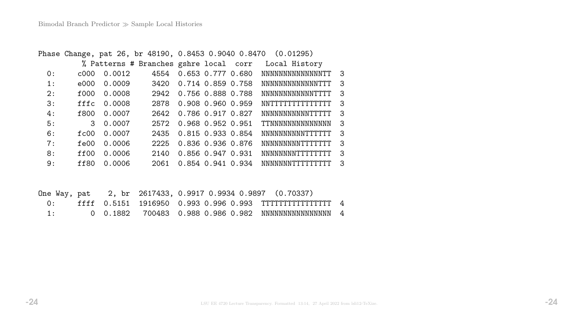|    |      | Phase Change, pat 26, br 48190, 0.8453 0.9040 0.8470 |      |                         |                         | (0.01295)                                            |     |
|----|------|------------------------------------------------------|------|-------------------------|-------------------------|------------------------------------------------------|-----|
|    |      |                                                      |      |                         |                         | % Patterns # Branches gshre local corr Local History |     |
| 0: | c000 | 0.0012                                               | 4554 |                         | 0.653 0.777 0.680       | NNNNNNNNNNNNNNTT                                     | -3  |
| 1: | e000 | 0.0009                                               | 3420 |                         | 0.714 0.859 0.758       | NNNNNNNNNNNNNTTT                                     | -3  |
| 2: | f000 | 0.0008                                               | 2942 |                         | 0.756 0.888 0.788       | NNNNNNNNNNNNTTTT                                     | - 3 |
| 3: | fffc | 0.0008                                               | 2878 | $0.908$ 0.960 0.959     |                         |                                                      | -3  |
| 4: | f800 | 0.0007                                               | 2642 | 0.786 0.917 0.827       |                         | NNNNNNNNNNNTTTTT                                     | -3  |
| 5: | 3    | 0.0007                                               | 2572 |                         | $0.968$ 0.952 0.951     | TTNNNNNNNNNNNNNNN                                    | -3  |
| 6: | fc00 | 0.0007                                               | 2435 | 0.815 0.933 0.854       |                         | NNNNNNNNNNTTTTTT                                     | -3  |
| 7: | fe00 | 0.0006                                               | 2225 | 0.836 0.936 0.876       |                         | NNNNNNNNNTTTTTTTT                                    | -3  |
| 8: | ff00 | 0.0006                                               | 2140 |                         | $0.856$ $0.947$ $0.931$ |                                                      | - 3 |
| 9: | ff80 | 0.0006                                               | 2061 | $0.854$ $0.941$ $0.934$ |                         |                                                      | -3  |

|                          |  | One Way, pat 2, br 2617433, 0.9917 0.9934 0.9897 (0.70337)  |  |
|--------------------------|--|-------------------------------------------------------------|--|
| $\left( \cdot \right)$ : |  |                                                             |  |
| $\overline{1}$ :         |  | 0  0.1882  700483  0.988  0.986  0.982  NNNNNNNNNNNNNNNN  4 |  |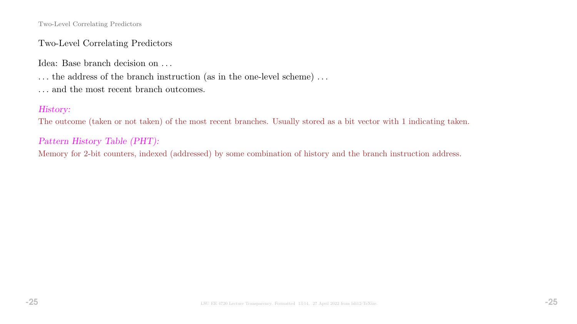Two-Level Correlating Predictors

# Two-Level Correlating Predictors

Idea: Base branch decision on . . .

- $\dots$  the address of the branch instruction (as in the one-level scheme)  $\dots$
- . . . and the most recent branch outcomes.

# History:

The outcome (taken or not taken) of the most recent branches. Usually stored as a bit vector with 1 indicating taken.

# Pattern History Table (PHT):

Memory for 2-bit counters, indexed (addressed) by some combination of history and the branch instruction address.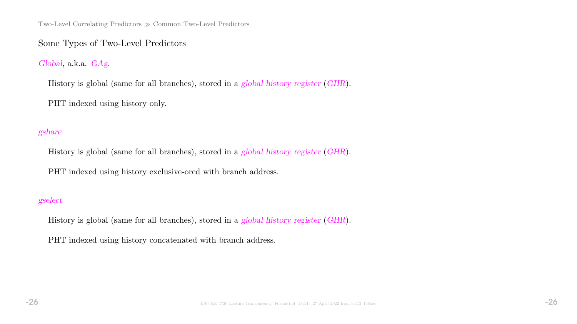Two-Level Correlating Predictors  $\gg$  Common Two-Level Predictors

### Some Types of Two-Level Predictors

Global, a.k.a. GAg.

History is global (same for all branches), stored in a global history register (GHR).

PHT indexed using history only.

#### gshare

History is global (same for all branches), stored in a global history register (GHR).

PHT indexed using history exclusive-ored with branch address.

#### gselect

History is global (same for all branches), stored in a global history register (GHR).

PHT indexed using history concatenated with branch address.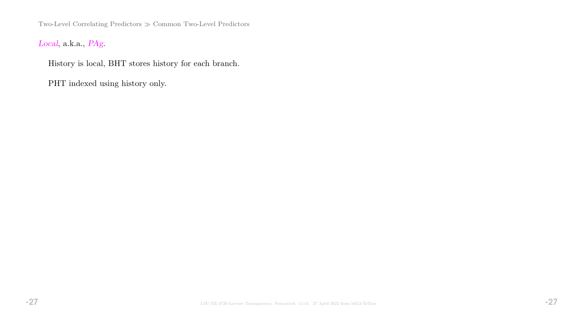Two-Level Correlating Predictors  $\gg$  Common Two-Level Predictors

Local, a.k.a., PAg.

History is local, BHT stores history for each branch.

PHT indexed using history only.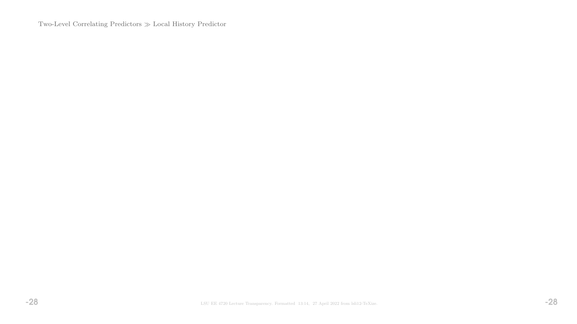Two-Level Correlating Predictors  $\gg$  Local History Predictor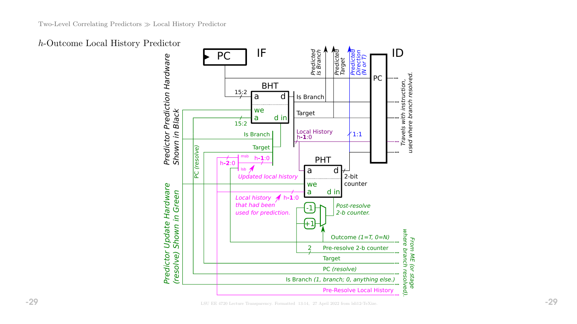### h-Outcome Local History Predictor

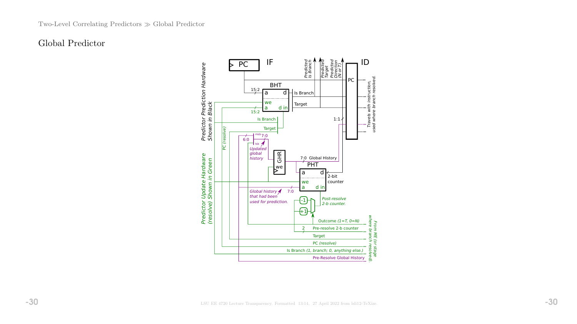# Global Predictor

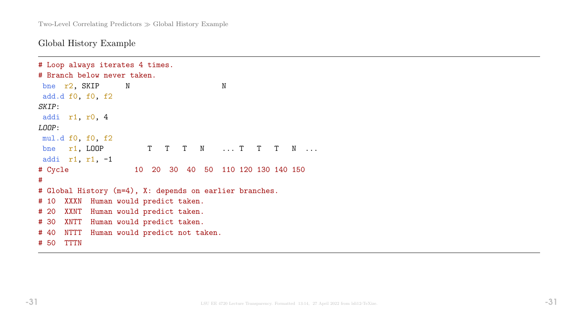Two-Level Correlating Predictors  $\gg$  Global History Example

#### Global History Example

```
# Loop always iterates 4 times.
# Branch below never taken.
bne r2, SKIP N N
add.d f0, f0, f2
SKIP:
addi r1, r0, 4
LOOP:
mul.d f0, f0, f2
bne r1, LOOP T T T N ... T T T N ...
addi r1, r1, -1
# Cycle 10 20 30 40 50 110 120 130 140 150
#
# Global History (m=4), X: depends on earlier branches.
# 10 XXXN Human would predict taken.
# 20 XXNT Human would predict taken.
# 30 XNTT Human would predict taken.
# 40 NTTT Human would predict not taken.
# 50 TTTN
```